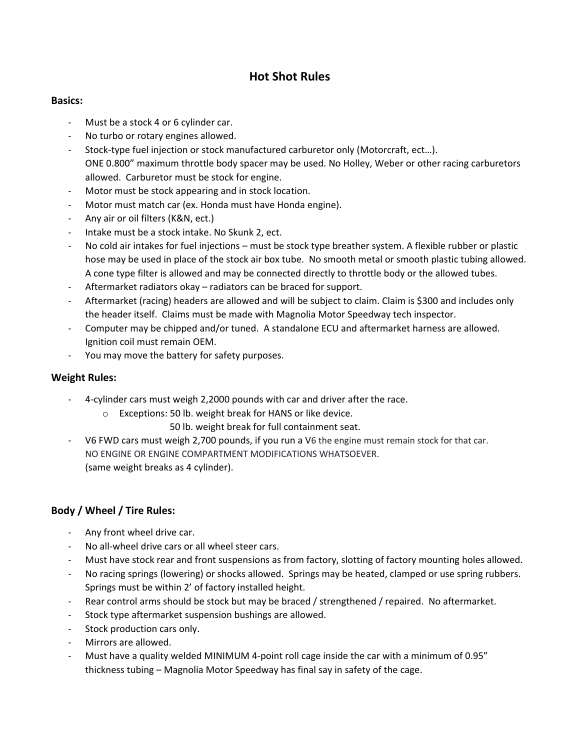# **Hot Shot Rules**

## **Basics:**

- ‐ Must be a stock 4 or 6 cylinder car.
- ‐ No turbo or rotary engines allowed.
- Stock-type fuel injection or stock manufactured carburetor only (Motorcraft, ect...). ONE 0.800" maximum throttle body spacer may be used. No Holley, Weber or other racing carburetors allowed. Carburetor must be stock for engine.
- Motor must be stock appearing and in stock location.
- ‐ Motor must match car (ex. Honda must have Honda engine).
- ‐ Any air or oil filters (K&N, ect.)
- ‐ Intake must be a stock intake. No Skunk 2, ect.
- No cold air intakes for fuel injections must be stock type breather system. A flexible rubber or plastic hose may be used in place of the stock air box tube. No smooth metal or smooth plastic tubing allowed. A cone type filter is allowed and may be connected directly to throttle body or the allowed tubes.
- Aftermarket radiators okay radiators can be braced for support.
- ‐ Aftermarket (racing) headers are allowed and will be subject to claim. Claim is \$300 and includes only the header itself. Claims must be made with Magnolia Motor Speedway tech inspector.
- ‐ Computer may be chipped and/or tuned. A standalone ECU and aftermarket harness are allowed. Ignition coil must remain OEM.
- ‐ You may move the battery for safety purposes.

## **Weight Rules:**

- ‐ 4‐cylinder cars must weigh 2,2000 pounds with car and driver after the race.
	- o Exceptions: 50 lb. weight break for HANS or like device.
		- 50 lb. weight break for full containment seat.
- ‐ V6 FWD cars must weigh 2,700 pounds, if you run a V6 the engine must remain stock for that car. NO ENGINE OR ENGINE COMPARTMENT MODIFICATIONS WHATSOEVER. (same weight breaks as 4 cylinder).

# **Body / Wheel / Tire Rules:**

- ‐ Any front wheel drive car.
- ‐ No all‐wheel drive cars or all wheel steer cars.
- ‐ Must have stock rear and front suspensions as from factory, slotting of factory mounting holes allowed.
- No racing springs (lowering) or shocks allowed. Springs may be heated, clamped or use spring rubbers. Springs must be within 2' of factory installed height.
- Rear control arms should be stock but may be braced / strengthened / repaired. No aftermarket.
- Stock type aftermarket suspension bushings are allowed.
- Stock production cars only.
- ‐ Mirrors are allowed.
- ‐ Must have a quality welded MINIMUM 4‐point roll cage inside the car with a minimum of 0.95" thickness tubing – Magnolia Motor Speedway has final say in safety of the cage.